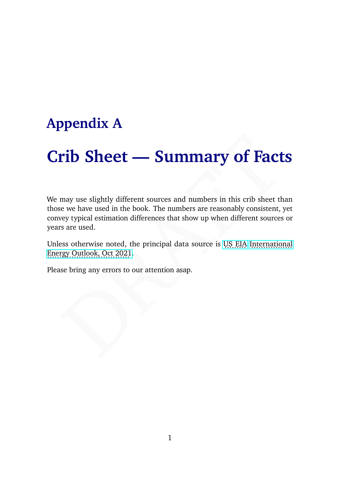# **Appendix A**

# **Crib Sheet — Summary of Facts**

**rib Sheet — Summary of Facts**<br>may use slightly different sources and numbers in this crib sheet than<br>ee we have used in the book. The numbers are reasonably consistent, yet<br>rey typical estimation differences that show up We may use slightly different sources and numbers in this crib sheet than those we have used in the book. The numbers are reasonably consistent, yet convey typical estimation differences that show up when different sources or years are used.

Unless otherwise noted, the principal data source is U.S. EIA [International](https://www.eia.gov/outlooks/ieo/) Energy Outlook, Oct 2021.

Please bring any errors to our attention asap.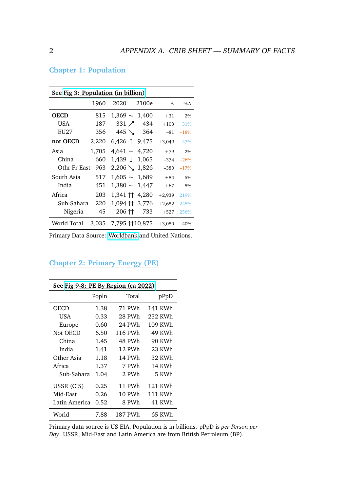| See Fig 3: Population (in billion) |       |                        |           |          |                |
|------------------------------------|-------|------------------------|-----------|----------|----------------|
|                                    | 1960  | 2020                   | 2100e     | $\wedge$ | $\% \triangle$ |
| <b>OECD</b>                        | 815   | $1,369 \sim 1,400$     |           | $+31$    | 2%             |
| <b>USA</b>                         | 187   |                        | 331 / 434 | $+103$   | 31%            |
| EU27                               | 356   | 445 $\searrow$         | 364       | -81      | $-18%$         |
| not OECD                           | 2,220 | $6,426$ 1 9.475        |           | $+3,049$ | 47%            |
| Asia                               | 1,705 | $4,641 \sim 4,720$     |           | $+79$    | 2%             |
| China                              | 660   | 1,439 ↓ 1,065          |           | $-374$   | $-26%$         |
| Othr Fr East                       | 963   | $2,206 \searrow 1,826$ |           | $-380$   | $-17%$         |
| South Asia                         | 517   | $1,605 \sim 1,689$     |           | $+84$    | 5%             |
| India                              | 451   | $1,380 \sim 1,447$     |           | $+67$    | 5%             |
| Africa                             | 203   | 1,341 ↑↑ 4,280         |           | $+2,939$ | 219%           |
| Sub-Sahara                         | 220   | 1,094 11 3,776         |           | $+2,682$ | 245%           |
| Nigeria                            | 45    | 206 11                 | 733       | $+527$   | 256%           |
| World Total                        |       | 3,035 7,795 110,875    |           | $+3,080$ | 40%            |

# **Chapter 1: Population**

Primary Data Source: [Worldbank](https://data.worldbank.org/indicator/SP.POP.TOTL) and United Nations.

| See Fig 9-8: PE By Region (ca 2022) |       |         |         |  |
|-------------------------------------|-------|---------|---------|--|
|                                     | Popln | Total   | pPpD    |  |
| OECD                                | 1.38  | 71 PWh  | 141 KWh |  |
| USA                                 | 0.33  | 28 PWh  | 232 KWh |  |
| Europe                              | 0.60  | 24 PWh  | 109 KWh |  |
| Not OECD                            | 6.50  | 116 PWh | 49 KWh  |  |
| China                               | 1.45  | 48 PWh  | 90 KWh  |  |
| India                               | 1.41  | 12 PWh  | 23 KWh  |  |
| Other Asia                          | 1.18  | 14 PWh  | 32 KWh  |  |
| Africa                              | 1.37  | 7 PWh   | 14 KWh  |  |
| Sub-Sahara                          | 1.04  | 2 PWh   | 5 KWh   |  |
| USSR (CIS)                          | 0.25  | 11 PWh  | 121 KWh |  |
| Mid-East                            | 0.26  | 10 PWh  | 111 KWh |  |
| Latin America                       | 0.52  | 8 PWh   | 41 KWh  |  |
| World                               | 7.88  | 187 PWh | 65 KWh  |  |

# **Chapter 2: Primary Energy (PE)**

Primary data source is US EIA. Population is in billions. pPpD is *per Person per Day*. USSR, Mid-East and Latin America are from British Petroleum (BP).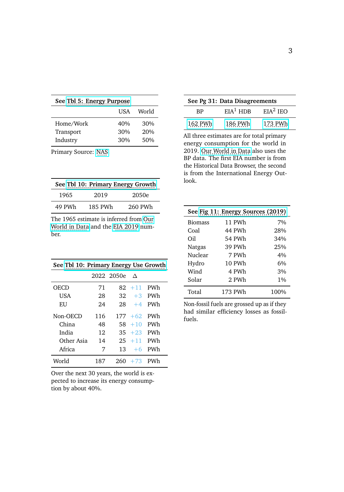| See Tbl 5: Energy Purpose |     |     |  |  |
|---------------------------|-----|-----|--|--|
| World<br>USA              |     |     |  |  |
| Home/Work                 | 40% | 30% |  |  |
| Transport                 | 30% | 20% |  |  |
| Industry                  | 30% | 50% |  |  |

Primary Source: [NAS.](http://needtoknow.nas.edu/)

| See Tbl 10: Primary Energy Growth |         |         |  |
|-----------------------------------|---------|---------|--|
| 1965                              | 2019    | 2050e   |  |
| 49 PWh                            | 185 PWh | 260 PWh |  |

The 1965 estimate is inferred from [Our](https://ourworldindata.org/explorers/energy?tab=table&facet=none&country=USA~GBR~CHN~OWID_WRL~IND~BRA~ZAF&Total+or+Breakdown=Total&Energy+or+Electricity=Primary+energy&Metric=Annual+consumption) [World in Data](https://ourworldindata.org/explorers/energy?tab=table&facet=none&country=USA~GBR~CHN~OWID_WRL~IND~BRA~ZAF&Total+or+Breakdown=Total&Energy+or+Electricity=Primary+energy&Metric=Annual+consumption) and the [EIA 2019](https://www.eia.gov/outlooks/aeo/data/browser/#/?id=1-IEO2021) number.

| See Tbl 10: Primary Energy Use Growth |     |            |            |     |
|---------------------------------------|-----|------------|------------|-----|
|                                       |     | 2022 2050e | $\Lambda$  |     |
| OECD                                  | 71  | 82.        | $+11$      | PWh |
| USA                                   | 28  | 32         | $+3$       | PWh |
| EU                                    | 24  | 28         | $+4$       | PWh |
| Non-OECD                              | 116 |            | $177 + 62$ | PWh |
| China                                 | 48  | 58.        | $+10$      | PWh |
| India                                 | 12  |            | $35 + 23$  | PWh |
| Other Asia                            | 14  | 25         | $+11$      | PWh |
| Africa                                | 7   | 13         | $+6$       | PWh |
| World                                 | 187 | 260        | $+73$      |     |

Over the next 30 years, the world is expected to increase its energy consumption by about 40%.

| See Pg 31: Data Disagreements |                      |            |  |
|-------------------------------|----------------------|------------|--|
| RP                            | EIA <sup>1</sup> HDR | $EIA2$ IEO |  |
| 162 PWh                       | 186 PWh              | 173 PWh    |  |

All three estimates are for total primary energy consumption for the world in 2019. [Our World in Data](https://ourworldindata.org/explorers/energy?tab=table&facet=none&country=USA~GBR~CHN~OWID_WRL~IND~BRA~ZAF&Total+or+Breakdown=Total&Energy+or+Electricity=Primary+energy&Metric=Annual+consumption) also uses the BP data. The first EIA number is from the Historical Data Browser, the second is from the International Energy Outlook.

| See Fig 11: Energy Sources (2019) |         |       |  |
|-----------------------------------|---------|-------|--|
| <b>Biomass</b>                    | 11 PWh  | 7%    |  |
| Coal                              | 44 PWh  | 28%   |  |
| Oil                               | 54 PWh  | 34%   |  |
| Natgas                            | 39 PWh  | 25%   |  |
| Nuclear                           | 7 PWh   | 4%    |  |
| Hydro                             | 10 PWh  | 6%    |  |
| Wind                              | 4 PWh   | 3%    |  |
| Solar                             | 2 PWh   | $1\%$ |  |
| Total                             | 173 PWh | 100%  |  |

Non-fossil fuels are grossed up as if they had similar efficiency losses as fossilfuels.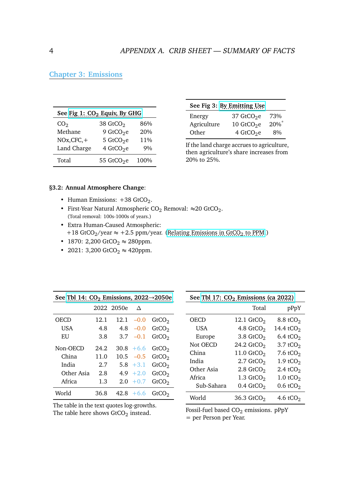# **Chapter 3: Emissions**

| See Fig 1: CO <sub>2</sub> Equiy, By GHG |                        |      |  |
|------------------------------------------|------------------------|------|--|
| CO <sub>2</sub>                          | 38 GtCO <sub>2</sub>   | 86%  |  |
| Methane                                  | 9 GtCO <sub>2</sub> e  | 20%  |  |
| $NOx, CFC, +$                            | 5 GtCO <sub>2</sub> e  | 11%  |  |
| Land Charge                              | 4 GtCO <sub>2</sub> e  | 9%   |  |
| Total                                    | 55 GtCO <sub>2</sub> e | 100% |  |

| See Fig 3: By Emitting Use |        |  |  |
|----------------------------|--------|--|--|
| 37 GtCO <sub>2</sub> e     | 73%    |  |  |
| 10 GtCO <sub>2</sub> e     | $20\%$ |  |  |
| 4 GtCO <sub>2</sub> e      | 8%     |  |  |
|                            |        |  |  |

If the land charge accrues to agriculture, then agriculture's share increases from 20% to 25%.

#### **§3.2: Annual Atmosphere Change**:

- Human Emissions:  $+38$  GtCO<sub>2</sub>.
- First-Year Natural Atmospheric CO<sub>2</sub> Removal:  $\approx$ 20 GtCO<sub>2</sub>. (Total removal: 100s-1000s of years.)
- Extra Human-Caused Atmospheric: +18 GtCO<sub>2</sub>/year  $\approx$  +2.5 ppm/year. (Relating Emissions in GtCO<sub>2</sub> to PPM.)
- 1870: 2,200 GtCO<sub>2</sub>  $\approx$  280ppm.
- 2021: 3,200 GtCO<sub>2</sub>  $\approx$  420ppm.

| See Tbl 14: $CO2$ Emissions, 2022 $\rightarrow$ 2050e |      |            |              |                   |
|-------------------------------------------------------|------|------------|--------------|-------------------|
|                                                       |      | 2022 2050e | $\wedge$     |                   |
| OECD                                                  | 12.1 | 12.1       | $-0.0$       | GtCO <sub>2</sub> |
| USA                                                   | 4.8  | 4.8        | $-0.0$       | GtCO <sub>2</sub> |
| EU                                                    | 3.8  | 3.7        | $-0.1$       | GtCO <sub>2</sub> |
| Non-OECD                                              | 24.2 |            | $30.8 + 6.6$ | GtCO <sub>2</sub> |
| China                                                 | 11.0 |            | $10.5 - 0.5$ | GtCO <sub>2</sub> |
| India                                                 | 2.7  |            | $5.8 + 3.1$  | GtCO <sub>2</sub> |
| Other Asia                                            | 2.8  |            | $4.9 + 2.0$  | GtCO <sub>2</sub> |
| Africa                                                | 1.3  | 2.0        | $+0.7$       | GtCO <sub>2</sub> |
| World                                                 | 36.8 | 42.8       | $+6.6$       | GtCO <sub>2</sub> |

The table in the text quotes log-growths. The table here shows  $\rm{GtCO}_{2}$  instead.

| See Tbl 17: $CO2$ Emissions (ca 2022) |                          |                       |  |
|---------------------------------------|--------------------------|-----------------------|--|
|                                       | Total                    | pPpY                  |  |
| OECD                                  | 12.1 $GtCO2$             | 8.8 tCO <sub>2</sub>  |  |
| USA                                   | 4.8 $GtCO2$              | 14.4 tCO <sub>2</sub> |  |
| Europe                                | $3.8$ GtCO <sub>2</sub>  | 6.4 tCO <sub>2</sub>  |  |
| Not OECD                              | 24.2 $GtCO2$             | 3.7 tCO <sub>2</sub>  |  |
| China                                 | 11.0 $GtCO2$             | 7.6 tCO <sub>2</sub>  |  |
| India                                 | $2.7$ GtCO <sub>2</sub>  | 1.9 tCO <sub>2</sub>  |  |
| Other Asia                            | $2.8$ GtCO <sub>2</sub>  | 2.4 tCO <sub>2</sub>  |  |
| Africa                                | 1.3 $GtCO2$              | 1.0 tCO <sub>2</sub>  |  |
| Sub-Sahara                            | $0.4$ GtCO <sub>2</sub>  | $0.6 \text{ tCO}_2$   |  |
| World                                 | $36.3$ GtCO <sub>2</sub> | 4.6 tCO <sub>2</sub>  |  |

Fossil-fuel based  $CO<sub>2</sub>$  emissions. pPpY

= per Person per Year.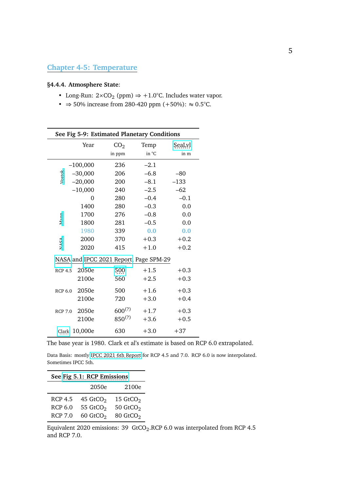# **Chapter 4-5: Temperature**

#### **§4.4.4. Atmosphere State**:

- Long-Run:  $2 \times CO_2$  (ppm)  $\Rightarrow +1.0$ °C. Includes water vapor.
- $\Rightarrow$  50% increase from 280-420 ppm (+50%):  $\approx$  0.5°C.

| See Fig 5-9: Estimated Planetary Conditions |            |                                        |        |        |
|---------------------------------------------|------------|----------------------------------------|--------|--------|
|                                             | Year       | CO <sub>2</sub>                        | Temp   | SeaLvl |
|                                             |            | in ppm                                 | in °C  | in m   |
|                                             | $-100,000$ | 236                                    | $-2.1$ |        |
| Vostok                                      | $-30,000$  | 206                                    | $-6.8$ | $-80$  |
|                                             | $-20,000$  | 200                                    | $-8.1$ | $-133$ |
|                                             | $-10,000$  | 240                                    | $-2.5$ | $-62$  |
|                                             | $\Omega$   | 280                                    | $-0.4$ | $-0.1$ |
|                                             | 1400       | 280                                    | $-0.3$ | 0.0    |
| Wann                                        | 1700       | 276                                    | $-0.8$ | 0.0    |
|                                             | 1800       | 281                                    | $-0.5$ | 0.0    |
|                                             | 1980       | 339                                    | 0.0    | 0.0    |
| NASA                                        | 2000       | 370                                    | $+0.3$ | $+0.2$ |
|                                             | 2020       | 415                                    | $+1.0$ | $+0.2$ |
|                                             |            | NASA and IPCC 2021 Report, Page SPM-29 |        |        |
| <b>RCP 4.5</b>                              | 2050e      | 500                                    | $+1.5$ | $+0.3$ |
|                                             | 2100e      | 560                                    | $+2.5$ | $+0.3$ |
| <b>RCP 6.0</b>                              | 2050e      | 500                                    | $+1.6$ | $+0.3$ |
|                                             | 2100e      | 720                                    | $+3.0$ | $+0.4$ |
| <b>RCP 7.0</b>                              | 2050e      | $600^{(?)}$                            | $+1.7$ | $+0.3$ |
|                                             | 2100e      | $850^{(?)}$                            | $+3.6$ | $+0.5$ |
| Clark                                       | 10,000e    | 630                                    | $+3.0$ | $+37$  |

The base year is 1980. Clark et al's estimate is based on RCP 6.0 extrapolated.

Data Basis: mostly [IPCC 2021 6th Report](https://www.ipcc.ch/report/ar6/wg1/downloads/report/IPCC_AR6_WGI_Full_Report.pdf) for RCP 4.5 and 7.0. RCP 6.0 is now interpolated. Sometimes IPCC 5th.

| See Fig 5.1: RCP Emissions |                        |                      |  |  |
|----------------------------|------------------------|----------------------|--|--|
| 2100e<br>2050e             |                        |                      |  |  |
| <b>RCP 4.5</b>             | 45 $GtCO2$             | 15 $GtCO2$           |  |  |
| <b>RCP 6.0</b>             | 55 GtCO <sub>2</sub>   | 50 $GtCO2$           |  |  |
| <b>RCP 7.0</b>             | $60$ GtCO <sub>2</sub> | 80 GtCO <sub>2</sub> |  |  |

Equivalent 2020 emissions: 39  $\,$  GtCO $_2$ .RCP 6.0 was interpolated from RCP 4.5  $\,$ and RCP 7.0.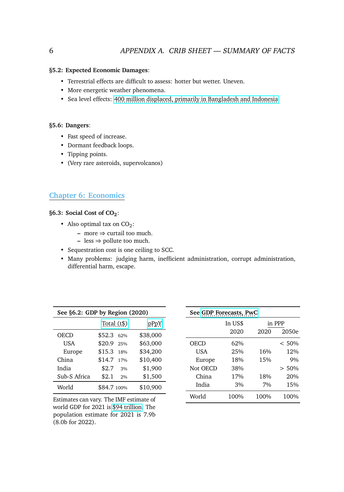#### **§5.2: Expected Economic Damages**:

- Terrestrial effects are difficult to assess: hotter but wetter. Uneven.
- More energetic weather phenomena.
- Sea level effects: [400 million displaced, primarily in Bangladesh and Indonesia.](https://www.wired.com/story/a-space-laser-shows-how-catastrophic-sea-level-rise-will-be/)

#### **§5.6: Dangers**:

- Fast speed of increase.
- Dormant feedback loops.
- Tipping points.
- (Very rare asteroids, supervolcanos)

#### **Chapter 6: Economics**

#### **§6.3: Social Cost of CO2**:

- Also optimal tax on  $CO_2$ :
	- **–** more ⇒ curtail too much.
	- **–** less ⇒ pollute too much.
- Sequestration cost is one ceiling to SCC.
- Many problems: judging harm, inefficient administration, corrupt administration, differential harm, escape.

| See §6.2: GDP by Region (2020)   |                           |          |  |  |  |
|----------------------------------|---------------------------|----------|--|--|--|
| Total $(t\$ )<br>pPpY            |                           |          |  |  |  |
| OECD                             | \$52.3<br>62%             | \$38,000 |  |  |  |
| USA                              | \$20.9<br>25%             | \$63,000 |  |  |  |
| Europe                           | \$15.3<br>18%             | \$34,200 |  |  |  |
| China                            | \$14.7<br>17%             | \$10,400 |  |  |  |
| India                            | \$2.7<br>3%               | \$1,900  |  |  |  |
| Sub-S Africa                     | \$2.1<br>2.9 <sub>0</sub> | \$1,500  |  |  |  |
| World<br>\$10,900<br>\$84.7 100% |                           |          |  |  |  |

Estimates can vary. The IMF estimate of world GDP for 2021 is [\\$94 trillion.](https://www.visualcapitalist.com/visualizing-the-94-trillion-world-economy-in-one-chart/) The population estimate for 2021 is 7.9b (8.0b for 2022).

| See GDP Forecasts, PwC |         |      |        |  |
|------------------------|---------|------|--------|--|
|                        | In US\$ |      | in PPP |  |
|                        | 2020    | 2020 | 2050e  |  |
| OECD                   | 62%     |      | < 50%  |  |
| USA                    | 2.5%    | 16%  | 12%    |  |
| Europe                 | 18%     | 15%  | 9%     |  |
| Not OECD               | 38%     |      | > 50%  |  |
| China                  | 17%     | 18%  | 20%    |  |
| India                  | 3%      | 7%   | 15%    |  |
| World                  | 100%    | 100% | 100%   |  |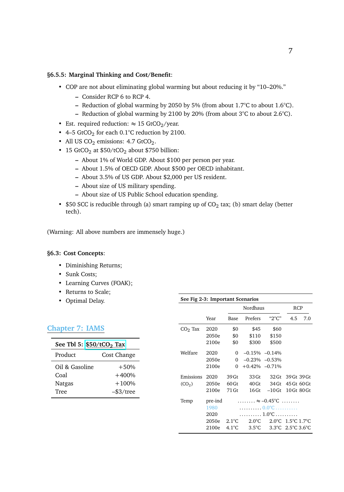#### **§6.5.5: Marginal Thinking and Cost/Benefit**:

- COP are not about eliminating global warming but about reducing it by "10–20%."
	- **–** Consider RCP 6 to RCP 4.
	- **–** Reduction of global warming by 2050 by 5% (from about 1.7°C to about 1.6°C).
	- **–** Reduction of global warming by 2100 by 20% (from about 3°C to about 2.6°C).
- Est. required reduction:  $\approx 15$  GtCO<sub>2</sub>/year.
- 4–5  $GtCO<sub>2</sub>$  for each 0.1°C reduction by 2100.
- All US  $CO_2$  emissions: 4.7 GtCO<sub>2</sub>.
- 15 GtCO<sub>2</sub> at  $$50/tCO<sub>2</sub>$  about \$750 billion:
	- **–** About 1% of World GDP. About \$100 per person per year.
	- **–** About 1.5% of OECD GDP. About \$500 per OECD inhabitant.
	- **–** About 3.5% of US GDP. About \$2,000 per US resident.
	- **–** About size of US military spending.
	- **–** About size of US Public School education spending.
- \$50 SCC is reducible through (a) smart ramping up of  $CO<sub>2</sub>$  tax; (b) smart delay (better tech).

(Warning: All above numbers are immensely huge.)

#### **§6.3: Cost Concepts**:

- Diminishing Returns;
- Sunk Costs;
- Learning Curves (FOAK);
- Returns to Scale;
- Optimal Delay.

| <b>Chapter 7: IAMS</b>               |              |
|--------------------------------------|--------------|
| See Tbl 5: \$50/tCO <sub>2</sub> Tax |              |
| Product                              | Cost Change  |
| Oil & Gasoline                       | $+50%$       |
| Coal                                 | $+400%$      |
| <b>Natgas</b>                        | $+100%$      |
| Tree                                 | $-$ \$3/tree |

| See Fig 2-3: Important Scenarios |         |                         |                                                                |                   |                                                 |     |
|----------------------------------|---------|-------------------------|----------------------------------------------------------------|-------------------|-------------------------------------------------|-----|
|                                  |         |                         | Nordhaus                                                       | <b>RCP</b>        |                                                 |     |
|                                  | Year    | Base                    | Prefers                                                        | "2°C"             | 4.5                                             | 7.0 |
| $CO2$ Tax                        | 2020    | \$0                     | \$45                                                           | \$60              |                                                 |     |
|                                  | 2050e   | \$0                     | \$110                                                          | \$150             |                                                 |     |
|                                  | 2100e   | \$0                     | \$300                                                          | \$500             |                                                 |     |
| Welfare                          | 2020    | $\Omega$                |                                                                | $-0.15\% -0.14\%$ |                                                 |     |
|                                  | 2050e   | $\Omega$                |                                                                | $-0.23\% -0.53\%$ |                                                 |     |
|                                  | 2100e   | $\Omega$                | $+0.42\% -0.71\%$                                              |                   |                                                 |     |
| Emissions                        | 2020    | 39 Gt                   | 33Gt                                                           | 32 Gt             | 39 Gt 39 Gt                                     |     |
| (CO <sub>2</sub> )               | 2050e   | 60 <sub>gt</sub>        | 40 Gt                                                          | 34 Gt             | 45 Gt 60 Gt                                     |     |
|                                  | 2100e   | 71 Gt                   | $16$ Gt                                                        | $-10$ Gt          | $10$ Gt $80$ Gt                                 |     |
| Temp                             | pre-ind |                         | $\ldots \ldots \approx -0.45^{\circ}$ C $\ldots \ldots \ldots$ |                   |                                                 |     |
|                                  | 1980    |                         | . 0.0°C                                                        |                   |                                                 |     |
|                                  | 2020    | $\ldots$ 1.0°C $\ldots$ |                                                                |                   |                                                 |     |
|                                  | 2050e   | $2.1^{\circ}$ C         | $2.0^{\circ}$ C                                                |                   | $2.0^{\circ}$ C $1.5^{\circ}$ C $1.7^{\circ}$ C |     |
|                                  | 2100e   | $4.1^{\circ}$ C         | $3.5^{\circ}$ C                                                |                   | 3.3 °C $-2.5$ °C 3.6 °C                         |     |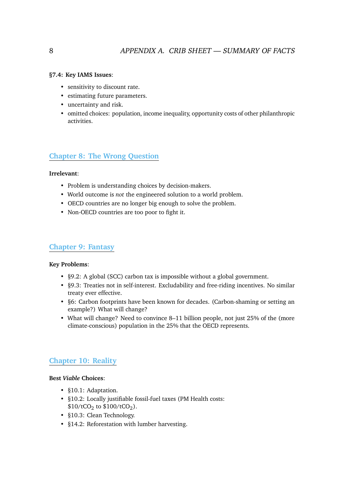#### **§7.4: Key IAMS Issues**:

- sensitivity to discount rate.
- estimating future parameters.
- uncertainty and risk.
- omitted choices: population, income inequality, opportunity costs of other philanthropic activities.

# **Chapter 8: The Wrong Question**

#### **Irrelevant**:

- Problem is understanding choices by decision-makers.
- World outcome is *not* the engineered solution to a world problem.
- OECD countries are no longer big enough to solve the problem.
- Non-OECD countries are too poor to fight it.

## **Chapter 9: Fantasy**

#### **Key Problems**:

- §9.2: A global (SCC) carbon tax is impossible without a global government.
- §9.3: Treaties not in self-interest. Excludability and free-riding incentives. No similar treaty ever effective.
- §6: Carbon footprints have been known for decades. (Carbon-shaming or setting an example?) What will change?
- What will change? Need to convince 8–11 billion people, not just 25% of the (more climate-conscious) population in the 25% that the OECD represents.

# **Chapter 10: Reality**

#### **Best** *Viable* **Choices**:

- §10.1: Adaptation.
- §10.2: Locally justifiable fossil-fuel taxes (PM Health costs:  $$10/tCO<sub>2</sub>$  to  $$100/tCO<sub>2</sub>$ ).
- §10.3: Clean Technology.
- §14.2: Reforestation with lumber harvesting.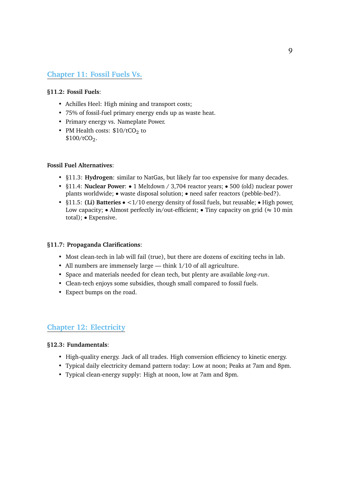# **Chapter 11: Fossil Fuels Vs.**

#### **§11.2: Fossil Fuels**:

- Achilles Heel: High mining and transport costs;
- 75% of fossil-fuel primary energy ends up as waste heat.
- Primary energy vs. Nameplate Power.
- PM Health costs:  $$10/tCO<sub>2</sub>$  to  $$100/tCO<sub>2</sub>$ .

#### **Fossil Fuel Alternatives**:

- §11.3: **Hydrogen**: similar to NatGas, but likely far too expensive for many decades.
- §11.4: **Nuclear Power**: 1 Meltdown / 3,704 reactor years; 500 (old) nuclear power plants worldwide; • waste disposal solution; • need safer reactors (pebble-bed?).
- §11.5: **(Li) Batteries** <1/10 energy density of fossil fuels, but reusable; High power, Low capacity; • Almost perfectly in/out-efficient; • Tiny capacity on grid ( $\approx 10$  min total); • Expensive.

#### **§11.7: Propaganda Clarifications**:

- Most clean-tech in lab will fail (true), but there are dozens of exciting techs in lab.
- All numbers are immensely large think 1/10 of all agriculture.
- Space and materials needed for clean tech, but plenty are available *long-run*.
- Clean-tech enjoys some subsidies, though small compared to fossil fuels.
- Expect bumps on the road.

## **Chapter 12: Electricity**

#### **§12.3: Fundamentals**:

- High-quality energy. Jack of all trades. High conversion efficiency to kinetic energy.
- Typical daily electricity demand pattern today: Low at noon; Peaks at 7am and 8pm.
- Typical clean-energy supply: High at noon, low at 7am and 8pm.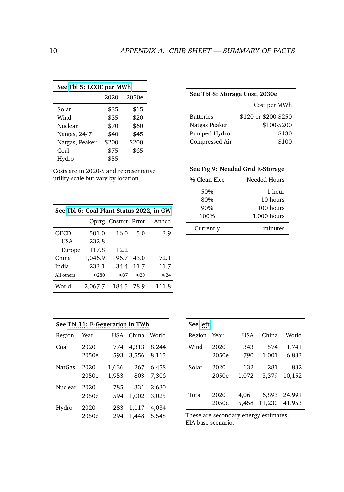| See Tbl 5: LCOE per MWh |       |       |  |  |  |  |
|-------------------------|-------|-------|--|--|--|--|
| 2050e<br>2020           |       |       |  |  |  |  |
| Solar                   | \$35  | \$15  |  |  |  |  |
| Wind                    | \$35  | \$20  |  |  |  |  |
| Nuclear                 | \$70  | \$60  |  |  |  |  |
| Natgas, 24/7            | \$40  | \$45  |  |  |  |  |
| Natgas, Peaker          | \$200 | \$200 |  |  |  |  |
| Coal                    | \$75  | \$65  |  |  |  |  |
| Hydro                   | \$55  |       |  |  |  |  |

Costs are in 2020-\$ and representative utility-scale but vary by location.

| See Tbl 6: Coal Plant Status 2022, in GW |               |              |              |              |  |  |
|------------------------------------------|---------------|--------------|--------------|--------------|--|--|
| Oprtg Cnstrct Prmt<br>Anncd              |               |              |              |              |  |  |
| OECD                                     | 501.0         | 16.0         | 5.0          | 3.9          |  |  |
| <b>USA</b>                               | 232.8         |              |              |              |  |  |
| Europe                                   | 117.8         | 12.2         |              |              |  |  |
| China                                    | 1,046.9       | 96.7         | 43.0         | 72.1         |  |  |
| India                                    | 233.1         | 34.4         | 11.7         | 11.7         |  |  |
| All others                               | $\approx 280$ | $\approx 37$ | $\approx 20$ | $\approx$ 24 |  |  |
| World                                    | 2,067.7       | 184.5        | 78.9         | 111.8        |  |  |

| See Fig 9: Needed Grid E-Storage |               |  |  |
|----------------------------------|---------------|--|--|
| % Clean Elec                     | Needed Hours  |  |  |
| 50%                              | 1 hour        |  |  |
| 80%                              | $10$ hours    |  |  |
| 90%                              | 100 hours     |  |  |
| 100%                             | $1,000$ hours |  |  |
| Currently                        | minutes       |  |  |

| See Thl 11: E-Generation in TWh |       |       |       |       |  |
|---------------------------------|-------|-------|-------|-------|--|
| Region                          | Year  | USA   | China | World |  |
| Coal                            | 2020  | 774   | 4,313 | 8,244 |  |
|                                 | 2050e | 593   | 3,556 | 8,115 |  |
| <b>NatGas</b>                   | 2020  | 1,636 | 267   | 6,458 |  |
|                                 | 2050e | 1,953 | 803   | 7.306 |  |
| Nuclear                         | 2020  | 785   | 331   | 2.630 |  |
|                                 | 2050e | 594   | 1,002 | 3,025 |  |
| Hydro                           | 2020  | 283   | 1,117 | 4,034 |  |
|                                 | 2050e | 294   | 1.448 | 5,548 |  |

| See left |       |       |        |        |  |
|----------|-------|-------|--------|--------|--|
| Region   | Year  | USA   | China  | World  |  |
| Wind     | 2020  | 343   | 574    | 1,741  |  |
|          | 2050e | 790   | 1,001  | 6,833  |  |
| Solar    | 2020  | 132   | 281    | 832    |  |
|          | 2050e | 1,072 | 3.379  | 10,152 |  |
| Total    | 2020  | 4.061 | 6,893  | 24,991 |  |
|          | 2050e | 5,458 | 11.230 | 41,953 |  |

These are secondary energy estimates, EIA base scenario.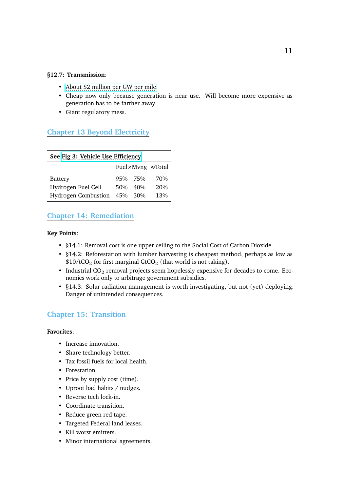#### **§12.7: Transmission**:

- [About \\$2 million per GW per mile.](https://iea-etsap.org/E-TechDS/PDF/E12_el-t&d_KV_Apr2014_GSOK.pdf)
- Cheap now only because generation is near use. Will become more expensive as generation has to be farther away.
- Giant regulatory mess.

## **Chapter 13 Beyond Electricity**

| See Fig 3: Vehicle Use Efficiency |         |         |     |  |  |
|-----------------------------------|---------|---------|-----|--|--|
| Fuel×Mvng $\approx$ Total         |         |         |     |  |  |
| Battery                           |         | 95% 75% | 70% |  |  |
| Hydrogen Fuel Cell                |         | 50% 40% | 20% |  |  |
| <b>Hydrogen Combustion</b>        | 45% 30% |         | 13% |  |  |

# **Chapter 14: Remediation**

#### **Key Points**:

- §14.1: Removal cost is one upper ceiling to the Social Cost of Carbon Dioxide.
- §14.2: Reforestation with lumber harvesting is cheapest method, perhaps as low as  $$10/tCO<sub>2</sub>$  for first marginal GtCO<sub>2</sub> (that world is not taking).
- Industrial  $CO_2$  removal projects seem hopelessly expensive for decades to come. Economics work only to arbitrage government subsidies.
- §14.3: Solar radiation management is worth investigating, but not (yet) deploying. Danger of unintended consequences.

## **Chapter 15: Transition**

### **Favorites**:

- Increase innovation.
- Share technology better.
- Tax fossil fuels for local health.
- Forestation.
- Price by supply cost (time).
- Uproot bad habits / nudges.
- Reverse tech lock-in.
- Coordinate transition.
- Reduce green red tape.
- Targeted Federal land leases.
- Kill worst emitters.
- Minor international agreements.